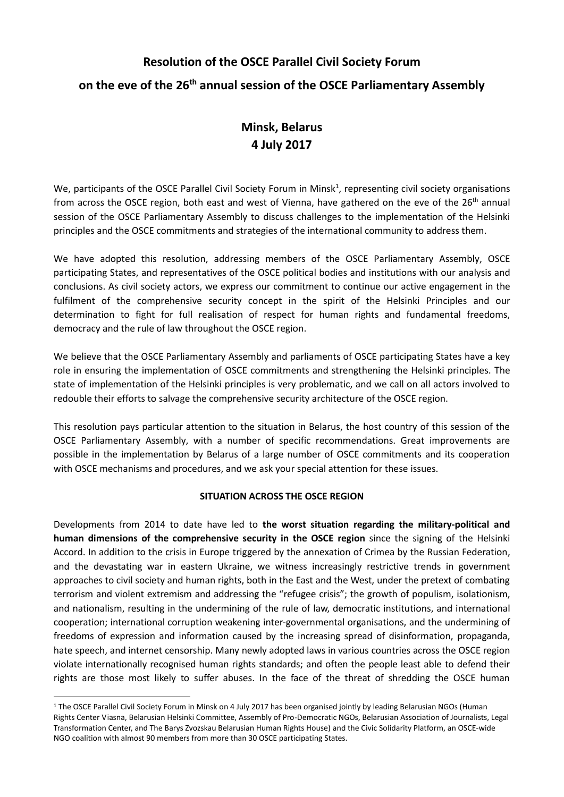# **Resolution of the OSCE Parallel Civil Society Forum**

### **on the eve of the 26th annual session of the OSCE Parliamentary Assembly**

# **Minsk, Belarus 4 July 2017**

We, participants of the OSCE Parallel Civil Society Forum in Minsk<sup>1</sup>, representing civil society organisations from across the OSCE region, both east and west of Vienna, have gathered on the eve of the 26<sup>th</sup> annual session of the OSCE Parliamentary Assembly to discuss challenges to the implementation of the Helsinki principles and the OSCE commitments and strategies of the international community to address them.

We have adopted this resolution, addressing members of the OSCE Parliamentary Assembly, OSCE participating States, and representatives of the OSCE political bodies and institutions with our analysis and conclusions. As civil society actors, we express our commitment to continue our active engagement in the fulfilment of the comprehensive security concept in the spirit of the Helsinki Principles and our determination to fight for full realisation of respect for human rights and fundamental freedoms, democracy and the rule of law throughout the OSCE region.

We believe that the OSCE Parliamentary Assembly and parliaments of OSCE participating States have a key role in ensuring the implementation of OSCE commitments and strengthening the Helsinki principles. The state of implementation of the Helsinki principles is very problematic, and we call on all actors involved to redouble their efforts to salvage the comprehensive security architecture of the OSCE region.

This resolution pays particular attention to the situation in Belarus, the host country of this session of the OSCE Parliamentary Assembly, with a number of specific recommendations. Great improvements are possible in the implementation by Belarus of a large number of OSCE commitments and its cooperation with OSCE mechanisms and procedures, and we ask your special attention for these issues.

### **SITUATION ACROSS THE OSCE REGION**

Developments from 2014 to date have led to **the worst situation regarding the military-political and human dimensions of the comprehensive security in the OSCE region** since the signing of the Helsinki Accord. In addition to the crisis in Europe triggered by the annexation of Crimea by the Russian Federation, and the devastating war in eastern Ukraine, we witness increasingly restrictive trends in government approaches to civil society and human rights, both in the East and the West, under the pretext of combating terrorism and violent extremism and addressing the "refugee crisis"; the growth of populism, isolationism, and nationalism, resulting in the undermining of the rule of law, democratic institutions, and international cooperation; international corruption weakening inter-governmental organisations, and the undermining of freedoms of expression and information caused by the increasing spread of disinformation, propaganda, hate speech, and internet censorship. Many newly adopted laws in various countries across the OSCE region violate internationally recognised human rights standards; and often the people least able to defend their rights are those most likely to suffer abuses. In the face of the threat of shredding the OSCE human

1

<sup>1</sup> The OSCE Parallel Civil Society Forum in Minsk on 4 July 2017 has been organised jointly by leading Belarusian NGOs (Human Rights Center Viasna, Belarusian Helsinki Committee, Assembly of Pro-Democratic NGOs, Belarusian Association of Journalists, Legal Transformation Center, and The Barys Zvozskau Belarusian Human Rights House) and the Civic Solidarity Platform, an OSCE-wide NGO coalition with almost 90 members from more than 30 OSCE participating States.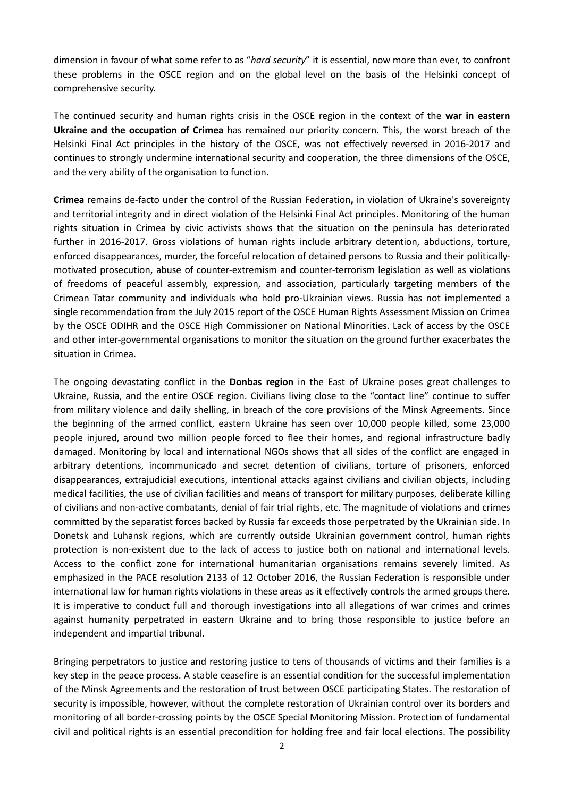dimension in favour of what some refer to as "*hard security*" it is essential, now more than ever, to confront these problems in the OSCE region and on the global level on the basis of the Helsinki concept of comprehensive security.

The continued security and human rights crisis in the OSCE region in the context of the **war in eastern Ukraine and the occupation of Crimea** has remained our priority concern. This, the worst breach of the Helsinki Final Act principles in the history of the OSCE, was not effectively reversed in 2016-2017 and continues to strongly undermine international security and cooperation, the three dimensions of the OSCE, and the very ability of the organisation to function.

**Crimea** remains de-facto under the control of the Russian Federation**,** in violation of Ukraine's sovereignty and territorial integrity and in direct violation of the Helsinki Final Act principles. Monitoring of the human rights situation in Crimea by civic activists shows that the situation on the peninsula has deteriorated further in 2016-2017. Gross violations of human rights include arbitrary detention, abductions, torture, enforced disappearances, murder, the forceful relocation of detained persons to Russia and their politicallymotivated prosecution, abuse of counter-extremism and counter-terrorism legislation as well as violations of freedoms of peaceful assembly, expression, and association, particularly targeting members of the Crimean Tatar community and individuals who hold pro-Ukrainian views. Russia has not implemented a single recommendation from the July 2015 report of the OSCE Human Rights Assessment Mission on Crimea by the OSCE ODIHR and the OSCE High Commissioner on National Minorities. Lack of access by the OSCE and other inter-governmental organisations to monitor the situation on the ground further exacerbates the situation in Crimea.

The ongoing devastating conflict in the **Donbas region** in the East of Ukraine poses great challenges to Ukraine, Russia, and the entire OSCE region. Civilians living close to the "contact line" continue to suffer from military violence and daily shelling, in breach of the core provisions of the Minsk Agreements. Since the beginning of the armed conflict, eastern Ukraine has seen over 10,000 people killed, some 23,000 people injured, around two million people forced to flee their homes, and regional infrastructure badly damaged. Monitoring by local and international NGOs shows that all sides of the conflict are engaged in arbitrary detentions, incommunicado and secret detention of civilians, torture of prisoners, enforced disappearances, extrajudicial executions, intentional attacks against civilians and civilian objects, including medical facilities, the use of civilian facilities and means of transport for military purposes, deliberate killing of civilians and non-active combatants, denial of fair trial rights, etc. The magnitude of violations and crimes committed by the separatist forces backed by Russia far exceeds those perpetrated by the Ukrainian side. In Donetsk and Luhansk regions, which are currently outside Ukrainian government control, human rights protection is non-existent due to the lack of access to justice both on national and international levels. Access to the conflict zone for international humanitarian organisations remains severely limited. As emphasized in the PACE resolution 2133 of 12 October 2016, the Russian Federation is responsible under international law for human rights violations in these areas as it effectively controls the armed groups there. It is imperative to conduct full and thorough investigations into all allegations of war crimes and crimes against humanity perpetrated in eastern Ukraine and to bring those responsible to justice before an independent and impartial tribunal.

Bringing perpetrators to justice and restoring justice to tens of thousands of victims and their families is a key step in the peace process. A stable ceasefire is an essential condition for the successful implementation of the Minsk Agreements and the restoration of trust between OSCE participating States. The restoration of security is impossible, however, without the complete restoration of Ukrainian control over its borders and monitoring of all border-crossing points by the OSCE Special Monitoring Mission. Protection of fundamental civil and political rights is an essential precondition for holding free and fair local elections. The possibility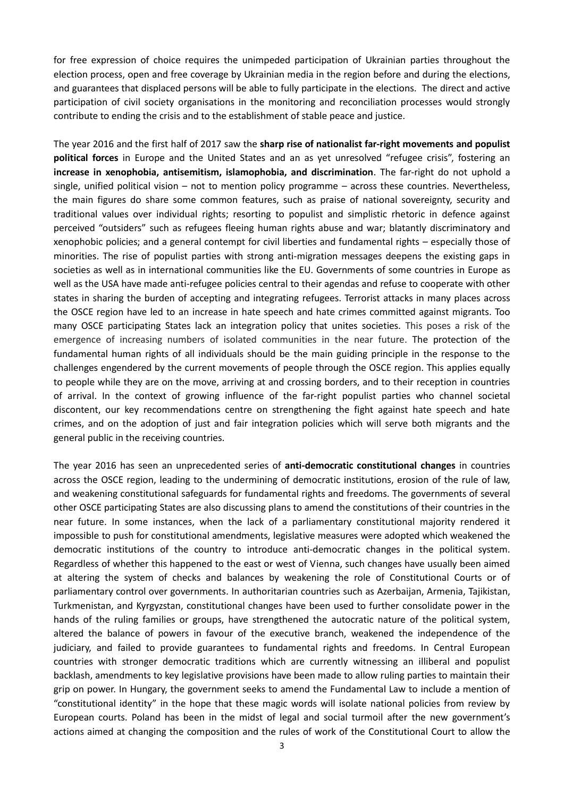for free expression of choice requires the unimpeded participation of Ukrainian parties throughout the election process, open and free coverage by Ukrainian media in the region before and during the elections, and guarantees that displaced persons will be able to fully participate in the elections. The direct and active participation of civil society organisations in the monitoring and reconciliation processes would strongly contribute to ending the crisis and to the establishment of stable peace and justice.

The year 2016 and the first half of 2017 saw the **sharp rise of nationalist far-right movements and populist political forces** in Europe and the United States and an as yet unresolved "refugee crisis", fostering an **increase in xenophobia, antisemitism, islamophobia, and discrimination**. The far-right do not uphold a single, unified political vision – not to mention policy programme – across these countries. Nevertheless, the main figures do share some common features, such as praise of national sovereignty, security and traditional values over individual rights; resorting to populist and simplistic rhetoric in defence against perceived "outsiders" such as refugees fleeing human rights abuse and war; blatantly discriminatory and xenophobic policies; and a general contempt for civil liberties and fundamental rights – especially those of minorities. The rise of populist parties with strong anti-migration messages deepens the existing gaps in societies as well as in international communities like the EU. Governments of some countries in Europe as well as the USA have made anti-refugee policies central to their agendas and refuse to cooperate with other states in sharing the burden of accepting and integrating refugees. Terrorist attacks in many places across the OSCE region have led to an increase in hate speech and hate crimes committed against migrants. Too many OSCE participating States lack an integration policy that unites societies. This poses a risk of the emergence of increasing numbers of isolated communities in the near future. The protection of the fundamental human rights of all individuals should be the main guiding principle in the response to the challenges engendered by the current movements of people through the OSCE region. This applies equally to people while they are on the move, arriving at and crossing borders, and to their reception in countries of arrival. In the context of growing influence of the far-right populist parties who channel societal discontent, our key recommendations centre on strengthening the fight against hate speech and hate crimes, and on the adoption of just and fair integration policies which will serve both migrants and the general public in the receiving countries.

The year 2016 has seen an unprecedented series of **anti-democratic constitutional changes** in countries across the OSCE region, leading to the undermining of democratic institutions, erosion of the rule of law, and weakening constitutional safeguards for fundamental rights and freedoms. The governments of several other OSCE participating States are also discussing plans to amend the constitutions of their countries in the near future. In some instances, when the lack of a parliamentary constitutional majority rendered it impossible to push for constitutional amendments, legislative measures were adopted which weakened the democratic institutions of the country to introduce anti-democratic changes in the political system. Regardless of whether this happened to the east or west of Vienna, such changes have usually been aimed at altering the system of checks and balances by weakening the role of Constitutional Courts or of parliamentary control over governments. In authoritarian countries such as Azerbaijan, Armenia, Tajikistan, Turkmenistan, and Kyrgyzstan, constitutional changes have been used to further consolidate power in the hands of the ruling families or groups, have strengthened the autocratic nature of the political system, altered the balance of powers in favour of the executive branch, weakened the independence of the judiciary, and failed to provide guarantees to fundamental rights and freedoms. In Central European countries with stronger democratic traditions which are currently witnessing an illiberal and populist backlash, amendments to key legislative provisions have been made to allow ruling parties to maintain their grip on power. In Hungary, the government seeks to amend the Fundamental Law to include a mention of "constitutional identity" in the hope that these magic words will isolate national policies from review by European courts. Poland has been in the midst of legal and social turmoil after the new government's actions aimed at changing the composition and the rules of work of the Constitutional Court to allow the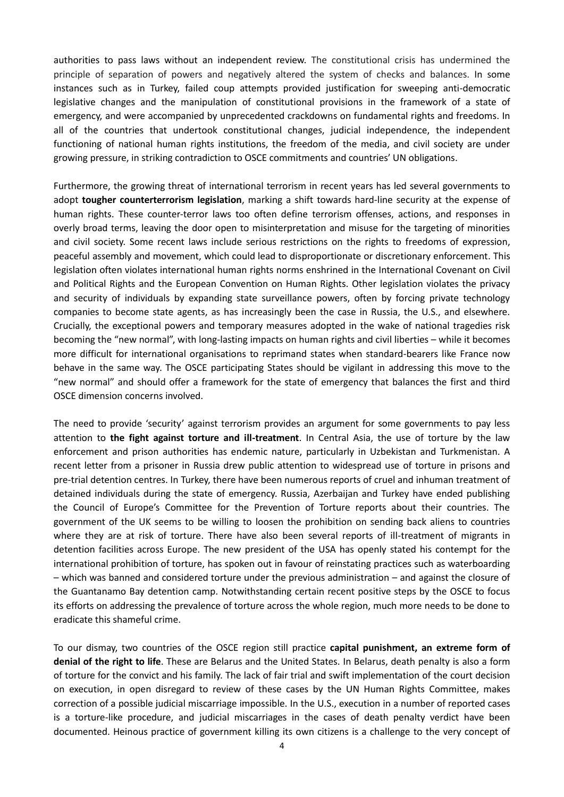authorities to pass laws without an independent review. The constitutional crisis has undermined the principle of separation of powers and negatively altered the system of checks and balances. In some instances such as in Turkey, failed coup attempts provided justification for sweeping anti-democratic legislative changes and the manipulation of constitutional provisions in the framework of a state of emergency, and were accompanied by unprecedented crackdowns on fundamental rights and freedoms. In all of the countries that undertook constitutional changes, judicial independence, the independent functioning of national human rights institutions, the freedom of the media, and civil society are under growing pressure, in striking contradiction to OSCE commitments and countries' UN obligations.

Furthermore, the growing threat of international terrorism in recent years has led several governments to adopt **tougher counterterrorism legislation**, marking a shift towards hard-line security at the expense of human rights. These counter-terror laws too often define terrorism offenses, actions, and responses in overly broad terms, leaving the door open to misinterpretation and misuse for the targeting of minorities and civil society. Some recent laws include serious restrictions on the rights to freedoms of expression, peaceful assembly and movement, which could lead to disproportionate or discretionary enforcement. This legislation often violates international human rights norms enshrined in the International Covenant on Civil and Political Rights and the European Convention on Human Rights. Other legislation violates the privacy and security of individuals by expanding state surveillance powers, often by forcing private technology companies to become state agents, as has increasingly been the case in Russia, the U.S., and elsewhere. Crucially, the exceptional powers and temporary measures adopted in the wake of national tragedies risk becoming the "new normal", with long-lasting impacts on human rights and civil liberties – while it becomes more difficult for international organisations to reprimand states when standard-bearers like France now behave in the same way. The OSCE participating States should be vigilant in addressing this move to the "new normal" and should offer a framework for the state of emergency that balances the first and third OSCE dimension concerns involved.

The need to provide 'security' against terrorism provides an argument for some governments to pay less attention to **the fight against torture and ill-treatment**. In Central Asia, the use of torture by the law enforcement and prison authorities has endemic nature, particularly in Uzbekistan and Turkmenistan. A recent letter from a prisoner in Russia drew public attention to widespread use of torture in prisons and pre-trial detention centres. In Turkey, there have been numerous reports of cruel and inhuman treatment of detained individuals during the state of emergency. Russia, Azerbaijan and Turkey have ended publishing the Council of Europe's Committee for the Prevention of Torture reports about their countries. The government of the UK seems to be willing to loosen the prohibition on sending back aliens to countries where they are at risk of torture. There have also been several reports of ill-treatment of migrants in detention facilities across Europe. The new president of the USA has openly stated his contempt for the international prohibition of torture, has spoken out in favour of reinstating practices such as waterboarding – which was banned and considered torture under the previous administration – and against the closure of the Guantanamo Bay detention camp. Notwithstanding certain recent positive steps by the OSCE to focus its efforts on addressing the prevalence of torture across the whole region, much more needs to be done to eradicate this shameful crime.

To our dismay, two countries of the OSCE region still practice **capital punishment, an extreme form of denial of the right to life**. These are Belarus and the United States. In Belarus, death penalty is also a form of torture for the convict and his family. The lack of fair trial and swift implementation of the court decision on execution, in open disregard to review of these cases by the UN Human Rights Committee, makes correction of a possible judicial miscarriage impossible. In the U.S., execution in a number of reported cases is a torture-like procedure, and judicial miscarriages in the cases of death penalty verdict have been documented. Heinous practice of government killing its own citizens is a challenge to the very concept of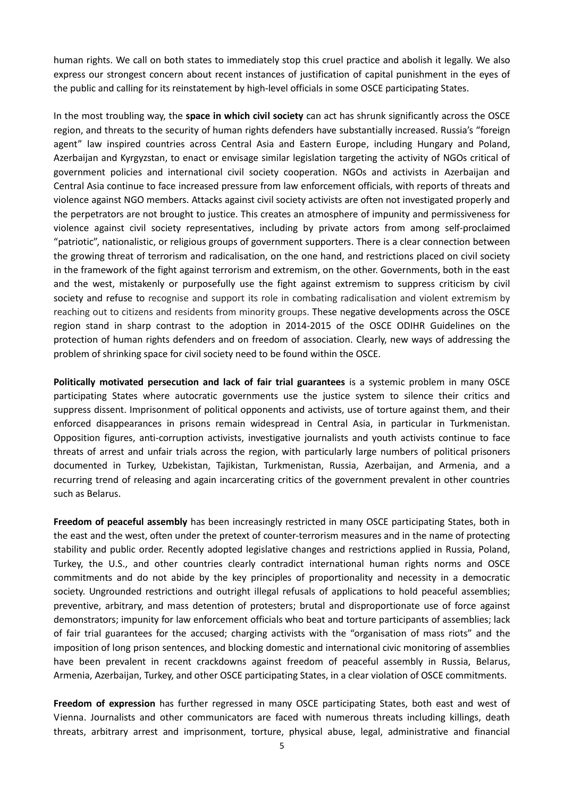human rights. We call on both states to immediately stop this cruel practice and abolish it legally. We also express our strongest concern about recent instances of justification of capital punishment in the eyes of the public and calling for its reinstatement by high-level officials in some OSCE participating States.

In the most troubling way, the **space in which civil society** can act has shrunk significantly across the OSCE region, and threats to the security of human rights defenders have substantially increased. Russia's "foreign agent" law inspired countries across Central Asia and Eastern Europe, including Hungary and Poland, Azerbaijan and Kyrgyzstan, to enact or envisage similar legislation targeting the activity of NGOs critical of government policies and international civil society cooperation. NGOs and activists in Azerbaijan and Central Asia continue to face increased pressure from law enforcement officials, with reports of threats and violence against NGO members. Attacks against civil society activists are often not investigated properly and the perpetrators are not brought to justice. This creates an atmosphere of impunity and permissiveness for violence against civil society representatives, including by private actors from among self-proclaimed "patriotic", nationalistic, or religious groups of government supporters. There is a clear connection between the growing threat of terrorism and radicalisation, on the one hand, and restrictions placed on civil society in the framework of the fight against terrorism and extremism, on the other. Governments, both in the east and the west, mistakenly or purposefully use the fight against extremism to suppress criticism by civil society and refuse to recognise and support its role in combating radicalisation and violent extremism by reaching out to citizens and residents from minority groups. These negative developments across the OSCE region stand in sharp contrast to the adoption in 2014-2015 of the OSCE ODIHR Guidelines on the protection of human rights defenders and on freedom of association. Clearly, new ways of addressing the problem of shrinking space for civil society need to be found within the OSCE.

**Politically motivated persecution and lack of fair trial guarantees** is a systemic problem in many OSCE participating States where autocratic governments use the justice system to silence their critics and suppress dissent. Imprisonment of political opponents and activists, use of torture against them, and their enforced disappearances in prisons remain widespread in Central Asia, in particular in Turkmenistan. Opposition figures, anti-corruption activists, investigative journalists and youth activists continue to face threats of arrest and unfair trials across the region, with particularly large numbers of political prisoners documented in Turkey, Uzbekistan, Tajikistan, Turkmenistan, Russia, Azerbaijan, and Armenia, and a recurring trend of releasing and again incarcerating critics of the government prevalent in other countries such as Belarus.

**Freedom of peaceful assembly** has been increasingly restricted in many OSCE participating States, both in the east and the west, often under the pretext of counter-terrorism measures and in the name of protecting stability and public order. Recently adopted legislative changes and restrictions applied in Russia, Poland, Turkey, the U.S., and other countries clearly contradict international human rights norms and OSCE commitments and do not abide by the key principles of proportionality and necessity in a democratic society. Ungrounded restrictions and outright illegal refusals of applications to hold peaceful assemblies; preventive, arbitrary, and mass detention of protesters; brutal and disproportionate use of force against demonstrators; impunity for law enforcement officials who beat and torture participants of assemblies; lack of fair trial guarantees for the accused; charging activists with the "organisation of mass riots" and the imposition of long prison sentences, and blocking domestic and international civic monitoring of assemblies have been prevalent in recent crackdowns against freedom of peaceful assembly in Russia, Belarus, Armenia, Azerbaijan, Turkey, and other OSCE participating States, in a clear violation of OSCE commitments.

**Freedom of expression** has further regressed in many OSCE participating States, both east and west of Vienna. Journalists and other communicators are faced with numerous threats including killings, death threats, arbitrary arrest and imprisonment, torture, physical abuse, legal, administrative and financial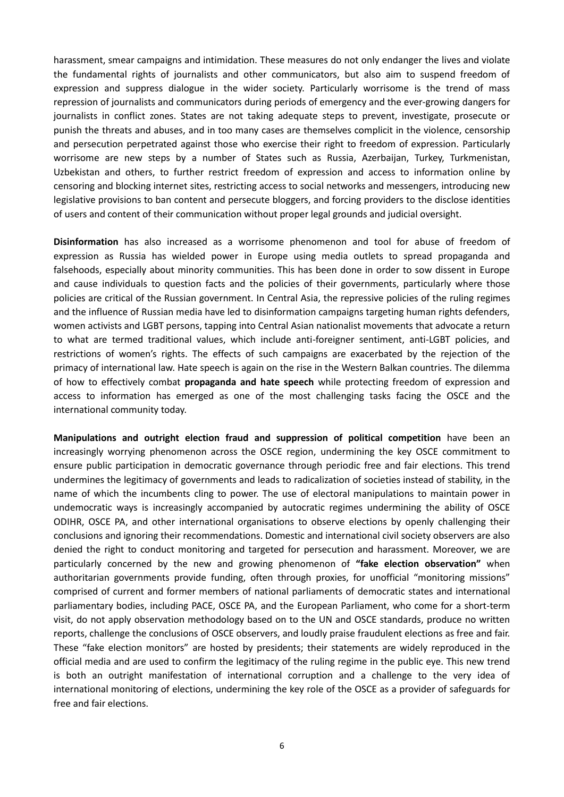harassment, smear campaigns and intimidation. These measures do not only endanger the lives and violate the fundamental rights of journalists and other communicators, but also aim to suspend freedom of expression and suppress dialogue in the wider society. Particularly worrisome is the trend of mass repression of journalists and communicators during periods of emergency and the ever-growing dangers for journalists in conflict zones. States are not taking adequate steps to prevent, investigate, prosecute or punish the threats and abuses, and in too many cases are themselves complicit in the violence, censorship and persecution perpetrated against those who exercise their right to freedom of expression. Particularly worrisome are new steps by a number of States such as Russia, Azerbaijan, Turkey, Turkmenistan, Uzbekistan and others, to further restrict freedom of expression and access to information online by censoring and blocking internet sites, restricting access to social networks and messengers, introducing new legislative provisions to ban content and persecute bloggers, and forcing providers to the disclose identities of users and content of their communication without proper legal grounds and judicial oversight.

**Disinformation** has also increased as a worrisome phenomenon and tool for abuse of freedom of expression as Russia has wielded power in Europe using media outlets to spread propaganda and falsehoods, especially about minority communities. This has been done in order to sow dissent in Europe and cause individuals to question facts and the policies of their governments, particularly where those policies are critical of the Russian government. In Central Asia, the repressive policies of the ruling regimes and the influence of Russian media have led to disinformation campaigns targeting human rights defenders, women activists and LGBT persons, tapping into Central Asian nationalist movements that advocate a return to what are termed traditional values, which include anti-foreigner sentiment, anti-LGBT policies, and restrictions of women's rights. The effects of such campaigns are exacerbated by the rejection of the primacy of international law. Hate speech is again on the rise in the Western Balkan countries. The dilemma of how to effectively combat **propaganda and hate speech** while protecting freedom of expression and access to information has emerged as one of the most challenging tasks facing the OSCE and the international community today.

**Manipulations and outright election fraud and suppression of political competition** have been an increasingly worrying phenomenon across the OSCE region, undermining the key OSCE commitment to ensure public participation in democratic governance through periodic free and fair elections. This trend undermines the legitimacy of governments and leads to radicalization of societies instead of stability, in the name of which the incumbents cling to power. The use of electoral manipulations to maintain power in undemocratic ways is increasingly accompanied by autocratic regimes undermining the ability of OSCE ODIHR, OSCE PA, and other international organisations to observe elections by openly challenging their conclusions and ignoring their recommendations. Domestic and international civil society observers are also denied the right to conduct monitoring and targeted for persecution and harassment. Moreover, we are particularly concerned by the new and growing phenomenon of **"fake election observation"** when authoritarian governments provide funding, often through proxies, for unofficial "monitoring missions" comprised of current and former members of national parliaments of democratic states and international parliamentary bodies, including PACE, OSCE PA, and the European Parliament, who come for a short-term visit, do not apply observation methodology based on to the UN and OSCE standards, produce no written reports, challenge the conclusions of OSCE observers, and loudly praise fraudulent elections as free and fair. These "fake election monitors" are hosted by presidents; their statements are widely reproduced in the official media and are used to confirm the legitimacy of the ruling regime in the public eye. This new trend is both an outright manifestation of international corruption and a challenge to the very idea of international monitoring of elections, undermining the key role of the OSCE as a provider of safeguards for free and fair elections.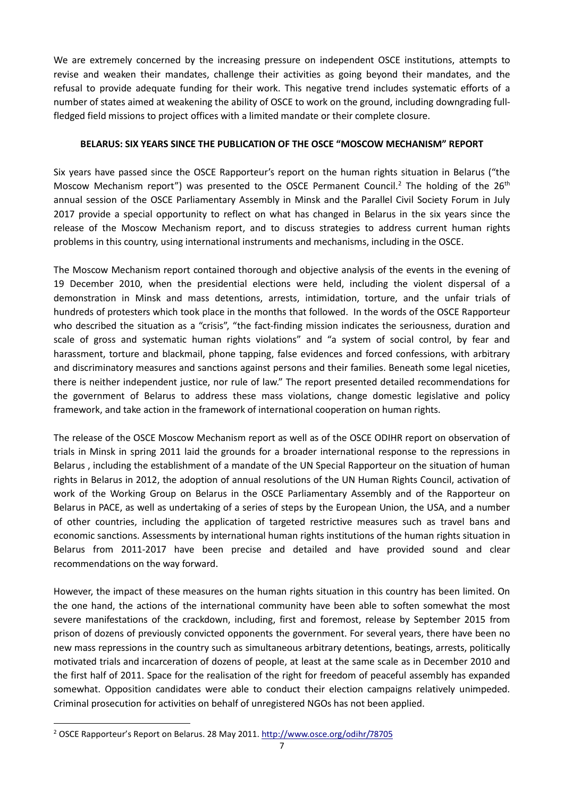We are extremely concerned by the increasing pressure on independent OSCE institutions, attempts to revise and weaken their mandates, challenge their activities as going beyond their mandates, and the refusal to provide adequate funding for their work. This negative trend includes systematic efforts of a number of states aimed at weakening the ability of OSCE to work on the ground, including downgrading fullfledged field missions to project offices with a limited mandate or their complete closure.

#### **BELARUS: SIX YEARS SINCE THE PUBLICATION OF THE OSCE "MOSCOW MECHANISM" REPORT**

Six years have passed since the OSCE Rapporteur's report on the human rights situation in Belarus ("the Moscow Mechanism report") was presented to the OSCE Permanent Council.<sup>2</sup> The holding of the  $26<sup>th</sup>$ annual session of the OSCE Parliamentary Assembly in Minsk and the Parallel Civil Society Forum in July 2017 provide a special opportunity to reflect on what has changed in Belarus in the six years since the release of the Moscow Mechanism report, and to discuss strategies to address current human rights problems in this country, using international instruments and mechanisms, including in the OSCE.

The Moscow Mechanism report contained thorough and objective analysis of the events in the evening of 19 December 2010, when the presidential elections were held, including the violent dispersal of a demonstration in Minsk and mass detentions, arrests, intimidation, torture, and the unfair trials of hundreds of protesters which took place in the months that followed. In the words of the OSCE Rapporteur who described the situation as a "crisis", "the fact-finding mission indicates the seriousness, duration and scale of gross and systematic human rights violations" and "a system of social control, by fear and harassment, torture and blackmail, phone tapping, false evidences and forced confessions, with arbitrary and discriminatory measures and sanctions against persons and their families. Beneath some legal niceties, there is neither independent justice, nor rule of law." The report presented detailed recommendations for the government of Belarus to address these mass violations, change domestic legislative and policy framework, and take action in the framework of international cooperation on human rights.

The release of the OSCE Moscow Mechanism report as well as of the OSCE ODIHR report on observation of trials in Minsk in spring 2011 laid the grounds for a broader international response to the repressions in Belarus , including the establishment of a mandate of the UN Special Rapporteur on the situation of human rights in Belarus in 2012, the adoption of annual resolutions of the UN Human Rights Council, activation of work of the Working Group on Belarus in the OSCE Parliamentary Assembly and of the Rapporteur on Belarus in PACE, as well as undertaking of a series of steps by the European Union, the USA, and a number of other countries, including the application of targeted restrictive measures such as travel bans and economic sanctions. Assessments by international human rights institutions of the human rights situation in Belarus from 2011-2017 have been precise and detailed and have provided sound and clear recommendations on the way forward.

However, the impact of these measures on the human rights situation in this country has been limited. On the one hand, the actions of the international community have been able to soften somewhat the most severe manifestations of the crackdown, including, first and foremost, release by September 2015 from prison of dozens of previously convicted opponents the government. For several years, there have been no new mass repressions in the country such as simultaneous arbitrary detentions, beatings, arrests, politically motivated trials and incarceration of dozens of people, at least at the same scale as in December 2010 and the first half of 2011. Space for the realisation of the right for freedom of peaceful assembly has expanded somewhat. Opposition candidates were able to conduct their election campaigns relatively unimpeded. Criminal prosecution for activities on behalf of unregistered NGOs has not been applied.

1

<sup>2</sup> OSCE Rapporteur's Report on Belarus. 28 May 2011.<http://www.osce.org/odihr/78705>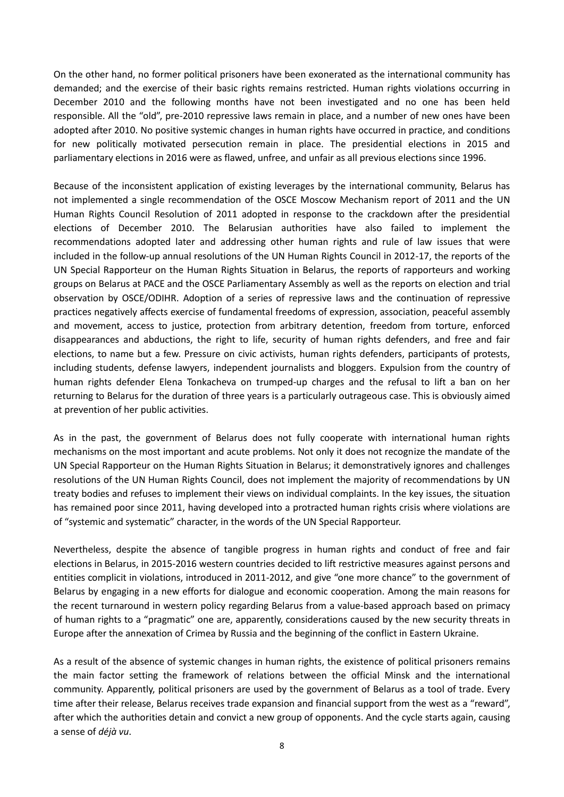On the other hand, no former political prisoners have been exonerated as the international community has demanded; and the exercise of their basic rights remains restricted. Human rights violations occurring in December 2010 and the following months have not been investigated and no one has been held responsible. All the "old", pre-2010 repressive laws remain in place, and a number of new ones have been adopted after 2010. No positive systemic changes in human rights have occurred in practice, and conditions for new politically motivated persecution remain in place. The presidential elections in 2015 and parliamentary elections in 2016 were as flawed, unfree, and unfair as all previous elections since 1996.

Because of the inconsistent application of existing leverages by the international community, Belarus has not implemented a single recommendation of the OSCE Moscow Mechanism report of 2011 and the UN Human Rights Council Resolution of 2011 adopted in response to the crackdown after the presidential elections of December 2010. The Belarusian authorities have also failed to implement the recommendations adopted later and addressing other human rights and rule of law issues that were included in the follow-up annual resolutions of the UN Human Rights Council in 2012-17, the reports of the UN Special Rapporteur on the Human Rights Situation in Belarus, the reports of rapporteurs and working groups on Belarus at PACE and the OSCE Parliamentary Assembly as well as the reports on election and trial observation by OSCE/ODIHR. Adoption of a series of repressive laws and the continuation of repressive practices negatively affects exercise of fundamental freedoms of expression, association, peaceful assembly and movement, access to justice, protection from arbitrary detention, freedom from torture, enforced disappearances and abductions, the right to life, security of human rights defenders, and free and fair elections, to name but a few. Pressure on civic activists, human rights defenders, participants of protests, including students, defense lawyers, independent journalists and bloggers. Expulsion from the country of human rights defender Elena Tonkacheva on trumped-up charges and the refusal to lift a ban on her returning to Belarus for the duration of three years is a particularly outrageous case. This is obviously aimed at prevention of her public activities.

As in the past, the government of Belarus does not fully cooperate with international human rights mechanisms on the most important and acute problems. Not only it does not recognize the mandate of the UN Special Rapporteur on the Human Rights Situation in Belarus; it demonstratively ignores and challenges resolutions of the UN Human Rights Council, does not implement the majority of recommendations by UN treaty bodies and refuses to implement their views on individual complaints. In the key issues, the situation has remained poor since 2011, having developed into a protracted human rights crisis where violations are of "systemic and systematic" character, in the words of the UN Special Rapporteur.

Nevertheless, despite the absence of tangible progress in human rights and conduct of free and fair elections in Belarus, in 2015-2016 western countries decided to lift restrictive measures against persons and entities complicit in violations, introduced in 2011-2012, and give "one more chance" to the government of Belarus by engaging in a new efforts for dialogue and economic cooperation. Among the main reasons for the recent turnaround in western policy regarding Belarus from a value-based approach based on primacy of human rights to a "pragmatic" one are, apparently, considerations caused by the new security threats in Europe after the annexation of Crimea by Russia and the beginning of the conflict in Eastern Ukraine.

As a result of the absence of systemic changes in human rights, the existence of political prisoners remains the main factor setting the framework of relations between the official Minsk and the international community. Apparently, political prisoners are used by the government of Belarus as a tool of trade. Every time after their release, Belarus receives trade expansion and financial support from the west as a "reward", after which the authorities detain and convict a new group of opponents. And the cycle starts again, causing a sense of *déjà vu*.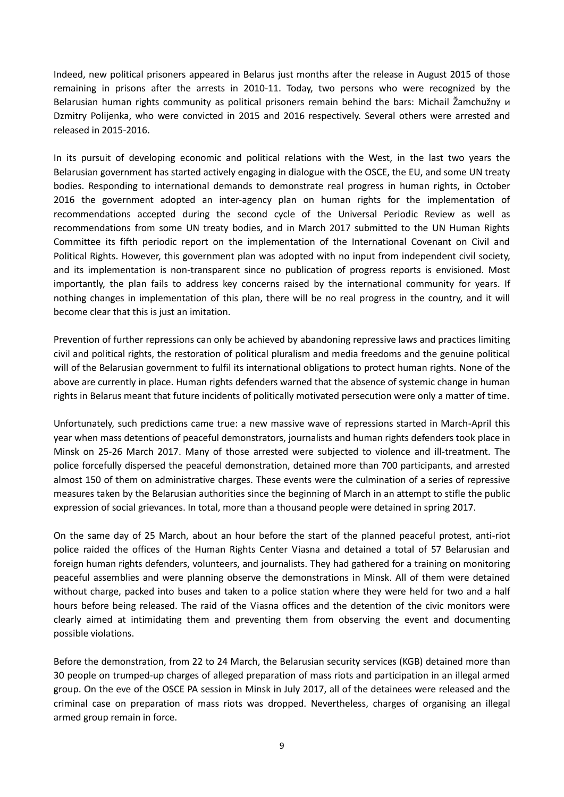Indeed, new political prisoners appeared in Belarus just months after the release in August 2015 of those remaining in prisons after the arrests in 2010-11. Today, two persons who were recognized by the Belarusian human rights community as political prisoners remain behind the bars: Michail Žamchužny и Dzmitry Polijenka, who were convicted in 2015 and 2016 respectively. Several others were arrested and released in 2015-2016.

In its pursuit of developing economic and political relations with the West, in the last two years the Belarusian government has started actively engaging in dialogue with the OSCE, the EU, and some UN treaty bodies. Responding to international demands to demonstrate real progress in human rights, in October 2016 the government adopted an inter-agency plan on human rights for the implementation of recommendations accepted during the second cycle of the Universal Periodic Review as well as recommendations from some UN treaty bodies, and in March 2017 submitted to the UN Human Rights Committee its fifth periodic report on the implementation of the International Covenant on Civil and Political Rights. However, this government plan was adopted with no input from independent civil society, and its implementation is non-transparent since no publication of progress reports is envisioned. Most importantly, the plan fails to address key concerns raised by the international community for years. If nothing changes in implementation of this plan, there will be no real progress in the country, and it will become clear that this is just an imitation.

Prevention of further repressions can only be achieved by abandoning repressive laws and practices limiting civil and political rights, the restoration of political pluralism and media freedoms and the genuine political will of the Belarusian government to fulfil its international obligations to protect human rights. None of the above are currently in place. Human rights defenders warned that the absence of systemic change in human rights in Belarus meant that future incidents of politically motivated persecution were only a matter of time.

Unfortunately, such predictions came true: a new massive wave of repressions started in March-April this year when mass detentions of peaceful demonstrators, journalists and human rights defenders took place in Minsk on 25-26 March 2017. Many of those arrested were subjected to violence and ill-treatment. The police forcefully dispersed the peaceful demonstration, detained more than 700 participants, and arrested almost 150 of them on administrative charges. These events were the culmination of a series of repressive measures taken by the Belarusian authorities since the beginning of March in an attempt to stifle the public expression of social grievances. In total, more than a thousand people were detained in spring 2017.

On the same day of 25 March, about an hour before the start of the planned peaceful protest, anti-riot police raided the offices of the Human Rights Center Viasna and detained a total of 57 Belarusian and foreign human rights defenders, volunteers, and journalists. They had gathered for a training on monitoring peaceful assemblies and were planning observe the demonstrations in Minsk. All of them were detained without charge, packed into buses and taken to a police station where they were held for two and a half hours before being released. The raid of the Viasna offices and the detention of the civic monitors were clearly aimed at intimidating them and preventing them from observing the event and documenting possible violations.

Before the demonstration, from 22 to 24 March, the Belarusian security services (KGB) detained more than 30 people on trumped-up charges of alleged preparation of mass riots and participation in an illegal armed group. On the eve of the OSCE PA session in Minsk in July 2017, all of the detainees were released and the criminal case on preparation of mass riots was dropped. Nevertheless, charges of organising an illegal armed group remain in force.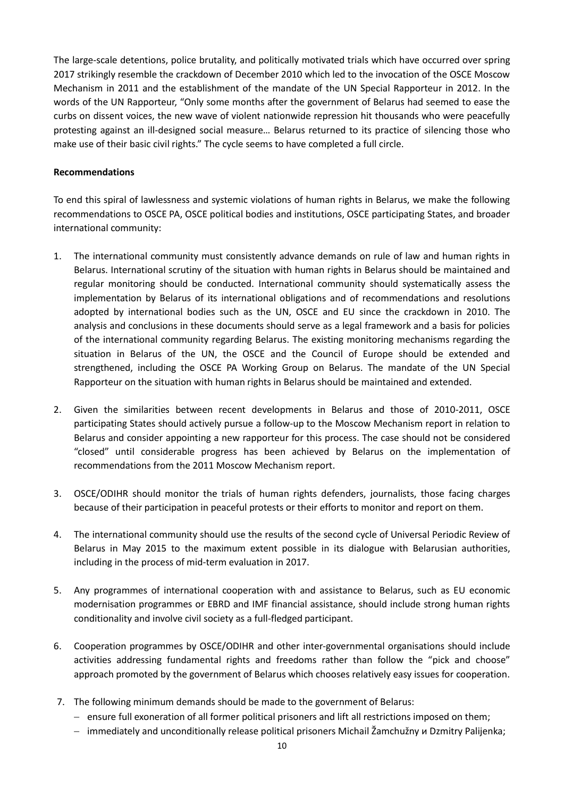The large-scale detentions, police brutality, and politically motivated trials which have occurred over spring 2017 strikingly resemble the crackdown of December 2010 which led to the invocation of the OSCE Moscow Mechanism in 2011 and the establishment of the mandate of the UN Special Rapporteur in 2012. In the words of the UN Rapporteur, "Only some months after the government of Belarus had seemed to ease the curbs on dissent voices, the new wave of violent nationwide repression hit thousands who were peacefully protesting against an ill-designed social measure… Belarus returned to its practice of silencing those who make use of their basic civil rights." The cycle seems to have completed a full circle.

#### **Recommendations**

To end this spiral of lawlessness and systemic violations of human rights in Belarus, we make the following recommendations to OSCE PA, OSCE political bodies and institutions, OSCE participating States, and broader international community:

- 1. The international community must consistently advance demands on rule of law and human rights in Belarus. International scrutiny of the situation with human rights in Belarus should be maintained and regular monitoring should be conducted. International community should systematically assess the implementation by Belarus of its international obligations and of recommendations and resolutions adopted by international bodies such as the UN, OSCE and EU since the crackdown in 2010. The analysis and conclusions in these documents should serve as a legal framework and a basis for policies of the international community regarding Belarus. The existing monitoring mechanisms regarding the situation in Belarus of the UN, the OSCE and the Council of Europe should be extended and strengthened, including the OSCE PA Working Group on Belarus. The mandate of the UN Special Rapporteur on the situation with human rights in Belarus should be maintained and extended.
- 2. Given the similarities between recent developments in Belarus and those of 2010-2011, OSCE participating States should actively pursue a follow-up to the Moscow Mechanism report in relation to Belarus and consider appointing a new rapporteur for this process. The case should not be considered "closed" until considerable progress has been achieved by Belarus on the implementation of recommendations from the 2011 Moscow Mechanism report.
- 3. OSCE/ODIHR should monitor the trials of human rights defenders, journalists, those facing charges because of their participation in peaceful protests or their efforts to monitor and report on them.
- 4. The international community should use the results of the second cycle of Universal Periodic Review of Belarus in May 2015 to the maximum extent possible in its dialogue with Belarusian authorities, including in the process of mid-term evaluation in 2017.
- 5. Any programmes of international cooperation with and assistance to Belarus, such as EU economic modernisation programmes or EBRD and IMF financial assistance, should include strong human rights conditionality and involve civil society as a full-fledged participant.
- 6. Cooperation programmes by OSCE/ODIHR and other inter-governmental organisations should include activities addressing fundamental rights and freedoms rather than follow the "pick and choose" approach promoted by the government of Belarus which chooses relatively easy issues for cooperation.
- 7. The following minimum demands should be made to the government of Belarus:
	- ensure full exoneration of all former political prisoners and lift all restrictions imposed on them;
	- immediately and unconditionally release political prisoners Michail Žamchužny и Dzmitry Palijenka;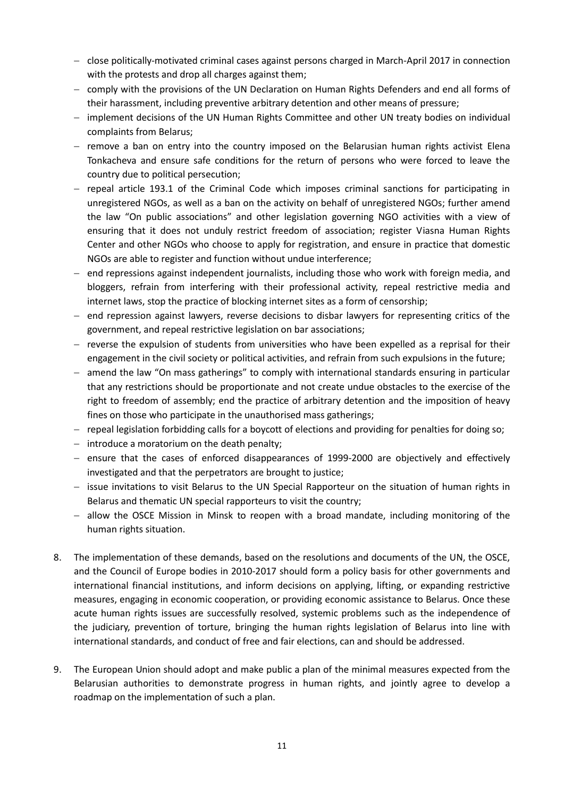- close politically-motivated criminal cases against persons charged in March-April 2017 in connection with the protests and drop all charges against them;
- comply with the provisions of the UN Declaration on Human Rights Defenders and end all forms of their harassment, including preventive arbitrary detention and other means of pressure;
- implement decisions of the UN Human Rights Committee and other UN treaty bodies on individual complaints from Belarus;
- $-$  remove a ban on entry into the country imposed on the Belarusian human rights activist Elena Tonkacheva and ensure safe conditions for the return of persons who were forced to leave the country due to political persecution;
- repeal article 193.1 of the Criminal Code which imposes criminal sanctions for participating in unregistered NGOs, as well as a ban on the activity on behalf of unregistered NGOs; further amend the law "On public associations" and other legislation governing NGO activities with a view of ensuring that it does not unduly restrict freedom of association; register Viasna Human Rights Center and other NGOs who choose to apply for registration, and ensure in practice that domestic NGOs are able to register and function without undue interference;
- end repressions against independent journalists, including those who work with foreign media, and bloggers, refrain from interfering with their professional activity, repeal restrictive media and internet laws, stop the practice of blocking internet sites as a form of censorship;
- $-$  end repression against lawyers, reverse decisions to disbar lawyers for representing critics of the government, and repeal restrictive legislation on bar associations;
- $-$  reverse the expulsion of students from universities who have been expelled as a reprisal for their engagement in the civil society or political activities, and refrain from such expulsions in the future;
- amend the law "On mass gatherings" to comply with international standards ensuring in particular that any restrictions should be proportionate and not create undue obstacles to the exercise of the right to freedom of assembly; end the practice of arbitrary detention and the imposition of heavy fines on those who participate in the unauthorised mass gatherings;
- repeal legislation forbidding calls for a boycott of elections and providing for penalties for doing so;
- $-$  introduce a moratorium on the death penalty;
- $-$  ensure that the cases of enforced disappearances of 1999-2000 are objectively and effectively investigated and that the perpetrators are brought to justice;
- issue invitations to visit Belarus to the UN Special Rapporteur on the situation of human rights in Belarus and thematic UN special rapporteurs to visit the country;
- $-$  allow the OSCE Mission in Minsk to reopen with a broad mandate, including monitoring of the human rights situation.
- 8. The implementation of these demands, based on the resolutions and documents of the UN, the OSCE, and the Council of Europe bodies in 2010-2017 should form a policy basis for other governments and international financial institutions, and inform decisions on applying, lifting, or expanding restrictive measures, engaging in economic cooperation, or providing economic assistance to Belarus. Once these acute human rights issues are successfully resolved, systemic problems such as the independence of the judiciary, prevention of torture, bringing the human rights legislation of Belarus into line with international standards, and conduct of free and fair elections, can and should be addressed.
- 9. The European Union should adopt and make public a plan of the minimal measures expected from the Belarusian authorities to demonstrate progress in human rights, and jointly agree to develop a roadmap on the implementation of such a plan.